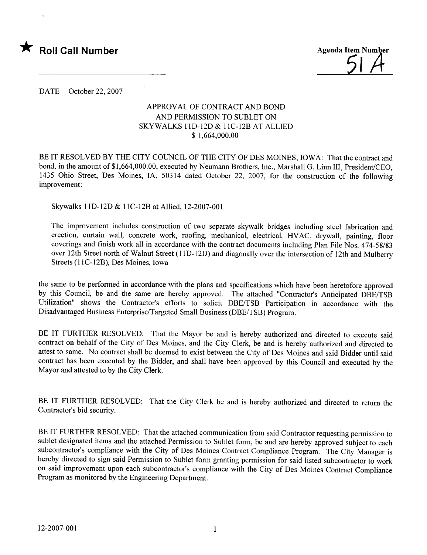



DATE October 22, 2007

## APPROVAL OF CONTRACT AND BOND AND PERMISSION TO SUBLET ON SKYWALKS llD-12D & llC-12B AT ALLIED \$ 1,664,000.00

BE IT RESOLVED BY THE CITY COUNCIL OF THE CITY OF DES MOINES, IOWA: That the contract and bond, in the amount of \$1,664,000.00, executed by Neumann Brothers, Inc., Marshall G. Linn II, President/CEO, 1435 Ohio Street, Des Moines, IA, 50314 dated October 22, 2007, for the construction of the following improvement:

Skywalks IID-12D & l1C-12B at Allied, 12-2007-001

The improvement includes construction of two separate skywalk bridges including steel fabrication and erection, curtain wall, concrete work, roofing, mechanical, electrical, HVAC, drywall, painting, floor coverings and finish work all in accordance with the contract documents including Plan File Nos. 474-58/83 over 12th Street north of Walnut Street (11D-12D) and diagonally over the intersection of 12th and Mulberry Streets (11C-12B), Des Moines, Iowa

the same to be performed in accordance with the plans and specifications which have been heretofore approved by this Council, be and the same are hereby approved. The attached "Contractor's Anticipated DBE/TSB Utilization" shows the Contractor's efforts to solicit DBE/TSB Participation in accordance with the Disadvantaged Business Enterprise/Targeted Small Business (DBE/TSB) Program.

BE IT FURTHER RESOLVED: That the Mayor be and is hereby authorized and directed to execute said contract on behalf of the City of Des Moines, and the City Clerk, be and is hereby authorized and directed to attest to same. No contract shall be deemed to exist between the City of Des Moines and said Bidder until said contract has been executed by the Bidder, and shall have been approved by this Council and executed by the Mayor and attested to by the City Clerk.

BE IT FURTHER RESOLVED: That the City Clerk be and is hereby authorized and directed to return the Contractor's bid security.

BE IT FURTHER RESOLVED: That the attached communication from said Contractor requesting permission to sublet designated items and the attached Permission to Sublet form, be and are hereby approved subject to each subcontractor's compliance with the City of Des Moines Contract Compliance Program. The City Manager is hereby directed to sign said Permission to Sublet form granting permission for said listed subcontractor to work on said improvement upon each subcontractor's compliance with the City of Des Moines Contract Compliance Program as monitored by the Engineering Department.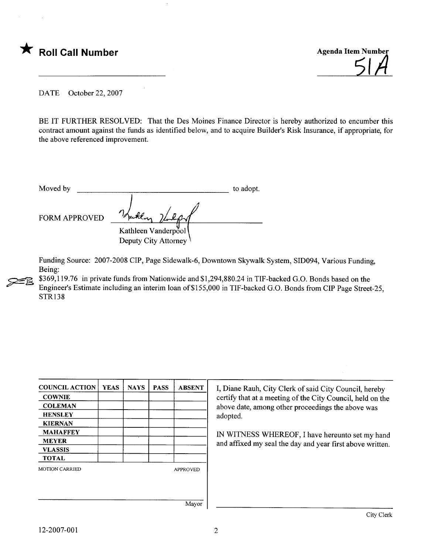

slA

DATE October 22, 2007

BE IT FURTHER RESOLVED: That the Des Moines Finance Director is hereby authorized to encumber this contract amount against the funds as identified below, and to acquire Builder's Risk Insurance, if appropriate, for the above referenced improvement.

Moved by to adopt. FORM APPROVED Kathleen Vanderpool Deputy City Attorney

Funding Source: 2007-2008 CIP, Page Sidewalk-6, Downtown Skywalk System, SID094, Various Funding, Being:

\$369,119.76 in private funds from Nationwide and \$1,294,880.24 in TIF-backed G.O. Bonds based on the Engineer's Estimate including an interim loan of\$155,000 in TIF-backed G.O. Bonds from CIP Page Street-25, STR138

| <b>COUNCIL ACTION</b> | <b>YEAS</b> | <b>NAYS</b> | <b>PASS</b> | <b>ABSENT</b>   |
|-----------------------|-------------|-------------|-------------|-----------------|
| <b>COWNIE</b>         |             |             |             |                 |
| <b>COLEMAN</b>        |             |             |             |                 |
| <b>HENSLEY</b>        |             |             |             |                 |
| <b>KIERNAN</b>        |             |             |             |                 |
| <b>MAHAFFEY</b>       |             |             |             |                 |
| <b>MEYER</b>          |             |             |             |                 |
| <b>VLASSIS</b>        |             |             |             |                 |
| <b>TOTAL</b>          |             |             |             |                 |
| <b>MOTION CARRIED</b> |             |             |             | <b>APPROVED</b> |
|                       |             |             |             |                 |
|                       |             |             |             |                 |
|                       |             |             |             |                 |
|                       |             |             |             | Mayor           |

I, Diane Rauh, City Clerk of said City Council, hereby certify that at a meeting of the City Council, held on the above date, among other proceedings the above was adopted.

IN WITNESS WHEREOF, I have hereunto set my hand and affixed my seal the day and year first above written.

**24**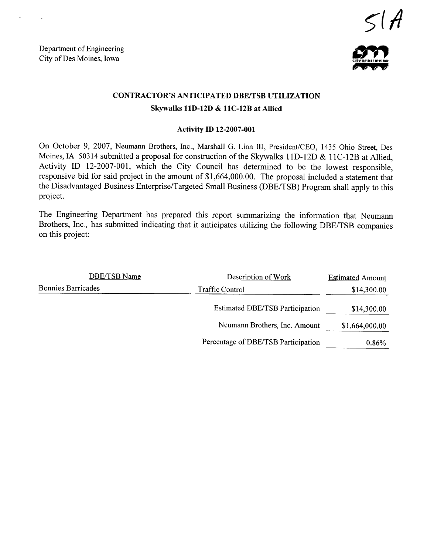Department of Engineering Department of Engineering<br>City of Des Moines, Iowa



## CONTRACTOR'S ANTICIPATED DBE/TSB UTILIZATION Skywalks 11D-12D & 11C-12B at Allied

## Activity ID 12-2007-001

On October 9, 2007, Neumann Brothers, Inc., Marshall G. Linn II, President/CEO, 1435 Ohio Street, Des Moines, IA 50314 submitted a proposal for construction of the Skywalks 11D-12D & 11C-12B at Allied. Activity ID 12-2007-001, which the City Council has determined to be the lowest responsible, responsive bid for said project in the amount of \$1,664,000.00. The proposal included a statement that the Disadvantaged Business Enterprise/Targeted Small Business (DBE/TSB) Program shall apply to this project.

The Engineering Department has prepared this report summarizing the information that Neumann Brothers, Inc., has submitted indicating that it anticipates utilizing the following DBE/TSB companies on this project:

| DBE/TSB Name              | Description of Work                    | <b>Estimated Amount</b> |
|---------------------------|----------------------------------------|-------------------------|
| <b>Bonnies Barricades</b> | Traffic Control                        | \$14,300.00             |
|                           | <b>Estimated DBE/TSB Participation</b> | \$14,300.00             |
|                           | Neumann Brothers, Inc. Amount          | \$1,664,000.00          |
|                           | Percentage of DBE/TSB Participation    | 0.86%                   |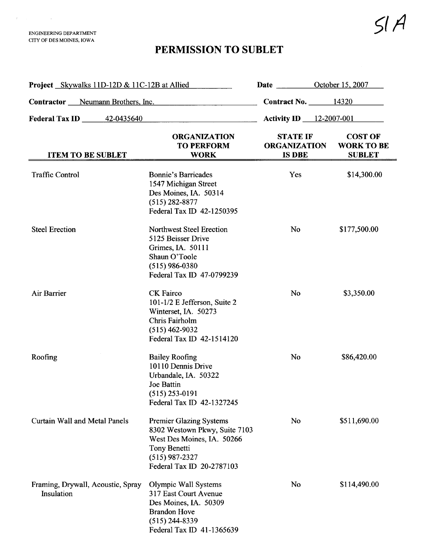$\label{eq:3.1} \mathcal{F}^{\mathcal{L}}_{\mathcal{F}}(\mathcal{L}^{\mathcal{L}}_{\mathcal{F}}(\mathcal{L}^{\mathcal{L}}_{\mathcal{F}})) = \mathcal{F}^{\mathcal{L}}_{\mathcal{F}}(\mathcal{L}^{\mathcal{L}}_{\mathcal{F}}(\mathcal{L}^{\mathcal{L}}_{\mathcal{F}}))$ 

## PERMISSION TO SUBLET

| <b>Project</b> Skywalks 11D-12D & 11C-12B at Allied |                                                                                                                                                                | <b>Date <i>Date</i></b>                                 | October 15, 2007                                     |
|-----------------------------------------------------|----------------------------------------------------------------------------------------------------------------------------------------------------------------|---------------------------------------------------------|------------------------------------------------------|
| <b>Contractor</b> Meumann Brothers, Inc.            |                                                                                                                                                                | <b>Contract No.</b> 14320                               |                                                      |
| <b>Federal Tax ID</b> 42-0435640                    |                                                                                                                                                                | <b>Activity ID</b> 12-2007-001                          |                                                      |
| <b>ITEM TO BE SUBLET</b>                            | <b>ORGANIZATION</b><br><b>TO PERFORM</b><br><b>WORK</b>                                                                                                        | <b>STATE IF</b><br><b>ORGANIZATION</b><br><b>IS DBE</b> | <b>COST OF</b><br><b>WORK TO BE</b><br><b>SUBLET</b> |
| <b>Traffic Control</b>                              | <b>Bonnie's Barricades</b><br>1547 Michigan Street<br>Des Moines, IA. 50314<br>$(515) 282 - 8877$<br>Federal Tax ID 42-1250395                                 | Yes                                                     | \$14,300.00                                          |
| <b>Steel Erection</b>                               | <b>Northwest Steel Erection</b><br>5125 Beisser Drive<br>Grimes, IA. 50111<br>Shaun O'Toole<br>$(515)$ 986-0380<br>Federal Tax ID 47-0799239                   | <b>No</b>                                               | \$177,500.00                                         |
| Air Barrier                                         | CK Fairco<br>101-1/2 E Jefferson, Suite 2<br>Winterset, IA. 50273<br>Chris Fairholm<br>$(515)$ 462-9032<br>Federal Tax ID 42-1514120                           | <b>No</b>                                               | \$3,350.00                                           |
| Roofing                                             | <b>Bailey Roofing</b><br>10110 Dennis Drive<br>Urbandale, IA. 50322<br>Joe Battin<br>$(515)$ 253-0191<br>Federal Tax ID 42-1327245                             | <b>No</b>                                               | \$86,420.00                                          |
| <b>Curtain Wall and Metal Panels</b>                | <b>Premier Glazing Systems</b><br>8302 Westown Pkwy, Suite 7103<br>West Des Moines, IA. 50266<br>Tony Benetti<br>$(515)$ 987-2327<br>Federal Tax ID 20-2787103 | No                                                      | \$511,690.00                                         |
| Framing, Drywall, Acoustic, Spray<br>Insulation     | Olympic Wall Systems<br>317 East Court Avenue<br>Des Moines, IA. 50309<br><b>Brandon Hove</b><br>$(515)$ 244-8339<br>Federal Tax ID 41-1365639                 | No                                                      | \$114,490.00                                         |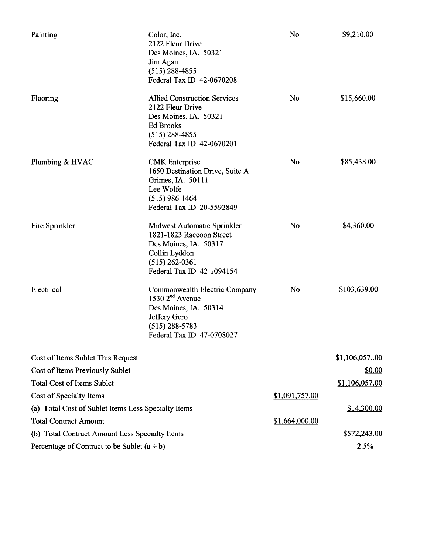| Painting                                            | Color, Inc.<br>2122 Fleur Drive<br>Des Moines, IA. 50321<br>Jim Agan<br>$(515)$ 288-4855<br>Federal Tax ID 42-0670208                                 | No             | \$9,210.00     |
|-----------------------------------------------------|-------------------------------------------------------------------------------------------------------------------------------------------------------|----------------|----------------|
| Flooring                                            | <b>Allied Construction Services</b><br>2122 Fleur Drive<br>Des Moines, IA. 50321<br><b>Ed Brooks</b><br>$(515)$ 288-4855<br>Federal Tax ID 42-0670201 | <b>No</b>      | \$15,660.00    |
| Plumbing & HVAC                                     | <b>CMK</b> Enterprise<br>1650 Destination Drive, Suite A<br>Grimes, IA. 50111<br>Lee Wolfe<br>$(515)$ 986-1464<br>Federal Tax ID 20-5592849           | No             | \$85,438.00    |
| Fire Sprinkler                                      | Midwest Automatic Sprinkler<br>1821-1823 Raccoon Street<br>Des Moines, IA. 50317<br>Collin Lyddon<br>$(515)$ 262-0361<br>Federal Tax ID 42-1094154    | <b>No</b>      | \$4,360.00     |
| Electrical                                          | Commonwealth Electric Company<br>1530 $2nd$ Avenue<br>Des Moines, IA. 50314<br>Jeffery Gero<br>$(515)$ 288-5783<br>Federal Tax ID 47-0708027          | No             | \$103,639.00   |
| Cost of Items Sublet This Request                   |                                                                                                                                                       |                | \$1,106,057,00 |
| Cost of Items Previously Sublet                     |                                                                                                                                                       |                | \$0.00         |
| <b>Total Cost of Items Sublet</b>                   |                                                                                                                                                       |                | \$1,106,057.00 |
| Cost of Specialty Items                             |                                                                                                                                                       | \$1,091,757.00 |                |
| (a) Total Cost of Sublet Items Less Specialty Items |                                                                                                                                                       |                | \$14,300.00    |
| <b>Total Contract Amount</b>                        |                                                                                                                                                       | \$1,664,000.00 |                |
| (b) Total Contract Amount Less Specialty Items      |                                                                                                                                                       |                | \$572,243.00   |
| Percentage of Contract to be Sublet $(a + b)$       |                                                                                                                                                       |                | 2.5%           |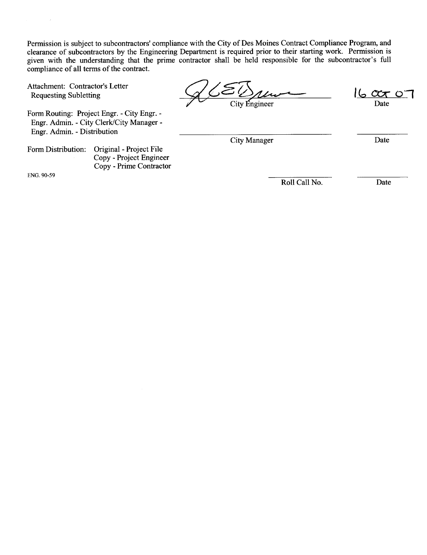Permission is subject to subcontractors' compliance with the City of Des Moines Contract Compliance Program, and clearance of subcontractors by the Engineering Department is required prior to their starting work. Permission is given with the understanding that the prime contractor shall be held responsible for the subcontractor's full compliance of all terms of the contract.

Attachment: Contractor's Letter

Form Routing: Project Engr. - City Engr. - Engr. Admin. - City Clerk/City Manager - Engr. Admin. - Distrbution

Form Distribution: Original - Project File Copy - Project Engineer Copy - Prime Contractor

ENG. 90-59

ompinance of all terms of the contract.<br>
Attachment: Contractor's Letter<br>
Requesting Subletting<br>
Form Routing: Project Engr. - City Engr. -

Date

City Manager Date

Roll Call No. Date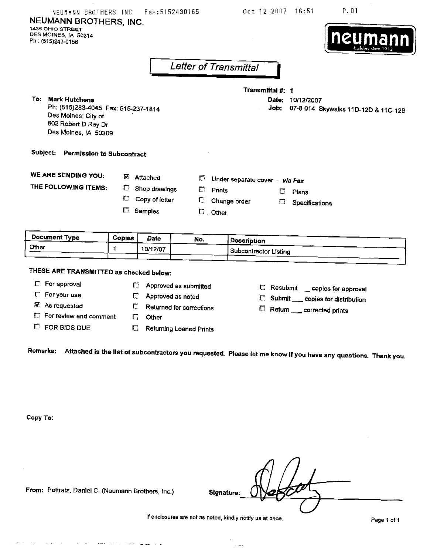| NEUMANN BROTHERS INC<br>NEUMANN BROTHERS, INC.<br>1435 OHIO STREET<br>DES MOINES, IA 50314<br>Ph: (515)243-0156                |        |                   | Fax: 5152430165                |                   | Oct 12 2007                    | 16:51                                   | P.01<br>neumann                     |
|--------------------------------------------------------------------------------------------------------------------------------|--------|-------------------|--------------------------------|-------------------|--------------------------------|-----------------------------------------|-------------------------------------|
|                                                                                                                                |        |                   | Letter of Transmittal          |                   |                                |                                         |                                     |
| To: Mark Hutchens<br>Ph: (515)283-4045 Fax: 515-237-1814<br>Des Moines; City of<br>602 Robert D Ray Dr<br>Des Moines, IA 50309 |        |                   |                                |                   | Transmittal #: 1<br>Job:       | Date: 10/12/2007                        | 07-8-014 Skywalks 11D-12D & 11C-12B |
| Subject:<br>Permission to Subcontract                                                                                          |        |                   |                                |                   |                                |                                         |                                     |
| <b>WE ARE SENDING YOU:</b>                                                                                                     |        | <b>M</b> Attached | D.                             |                   | Under separate cover - vla Fax |                                         |                                     |
| THE FOLLOWING ITEMS:                                                                                                           | U      | Shop drawings     | П                              | <b>Prints</b>     | П                              | Plans                                   |                                     |
|                                                                                                                                | С      | Copy of letter    | Đ.                             |                   | Change order<br>Г.             | Specifications                          |                                     |
|                                                                                                                                | U.     | Samples           |                                | $\square$ , Other |                                |                                         |                                     |
| <b>Document Type</b>                                                                                                           | Copies | <b>Date</b>       | No.                            |                   | Description                    |                                         |                                     |
| Other                                                                                                                          | 1      | 10/12/07          |                                |                   | Subcontractor Listing          |                                         |                                     |
|                                                                                                                                |        |                   |                                |                   |                                |                                         |                                     |
| THESE ARE TRANSMITTED as checked below:                                                                                        |        |                   |                                |                   |                                |                                         |                                     |
| <b>E</b> For approval                                                                                                          | Г.     |                   | Approved as submitted          |                   |                                |                                         |                                     |
| F For your use                                                                                                                 | Г3,    |                   | Approved as noted              |                   |                                | Resubmit __ copies for approval         |                                     |
| <b>E</b> As requested                                                                                                          | $\Box$ |                   | Returned for corrections       |                   |                                | <b>E</b> Submit copies for distribution |                                     |
| <b>E</b> For review and comment                                                                                                | E.     | Other             |                                |                   |                                | Return __ corrected prints              |                                     |
| <b>C</b> FOR BIDS DUE                                                                                                          | C.     |                   | <b>Returning Loaned Prints</b> |                   |                                |                                         |                                     |
| Remarks: Attached is the list of subcontractors you requested. Please let me know if you have any questions. Thank you.        |        |                   |                                |                   |                                |                                         |                                     |

Copy To:

 $\Delta \sim 10^{-1}$  $\bar{\mathcal{A}}$ 

From: Pottratz, Daniel C. (Neumann Brothers, Inc.) Signature:

والراموس ستعارضه والمتحدث

If enclosures are not as noted, kindly notify us at once. Page 1 of 1

 $\cdot$ 

 $\sim$   $\sim$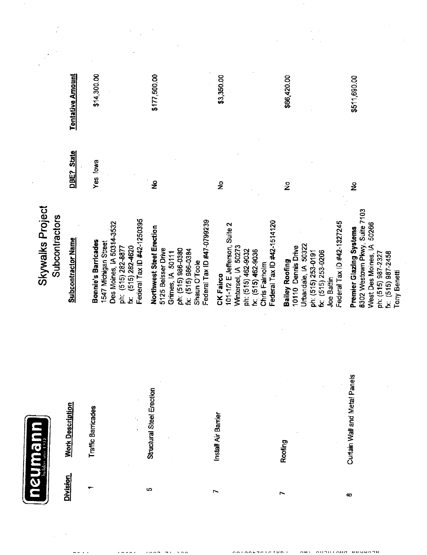|                                    | <b>Tentative Amount</b>   | \$14,300.00                                                                                                                                             | \$177,500.00                                                                                                                                                  | \$3,350.00                                                                                                                                                   | \$66,420.00                                                                                                                                                | \$511,690.00                                                                                                                                                |
|------------------------------------|---------------------------|---------------------------------------------------------------------------------------------------------------------------------------------------------|---------------------------------------------------------------------------------------------------------------------------------------------------------------|--------------------------------------------------------------------------------------------------------------------------------------------------------------|------------------------------------------------------------------------------------------------------------------------------------------------------------|-------------------------------------------------------------------------------------------------------------------------------------------------------------|
|                                    | <b>State</b><br>DBE?      | Yes lowa                                                                                                                                                | $\tilde{\mathbf{z}}$                                                                                                                                          | $\frac{5}{2}$                                                                                                                                                | $\frac{1}{2}$                                                                                                                                              | ş                                                                                                                                                           |
| Skywalks Project<br>Subcontractors | <b>Subcontractor Name</b> | Federal Tax ID #42-1250395<br>Des Moines, IA 50314-3532<br>Bonnie's Barricades<br>1547 Michigan Street<br>$(515)$ $282-4620$<br>ph: (515) 282-8877<br>ž | Federal Tax ID #47-0799239<br>Northwest Steel Erection<br>5125 Beisser Drive<br>ph: (515) 986-0380<br>fx: (515) 986-0384<br>Grimes, IA 50111<br>Shaun O'Toole | Federal Tax ID #42-1514120<br>101-1/2 E Jefferson, Suite 2<br>Winterset, IA 50273<br>ph: (515) 462-9032<br>fx: (515) 462-9036<br>Chris Fairholm<br>CK Fairco | Federal Tax ID #42-1327245<br>Urbandale, IA 50322<br>10110 Dennis Drive<br>fx: (515) 253-0206<br>ph: (515) 253-0191<br><b>Bailey Roofing</b><br>Joe Battin | 8302 Westown Pkwy, Suite 7103<br>50266<br>Premier Glazing Systems<br>West Des Moines, IA<br>ph: (515) 987-2327<br>fx: (515) 987-2458<br><b>Tony Benetti</b> |
| udewinsu                           | <b>Work Description</b>   | Traffic Barricades                                                                                                                                      | Structural Steel Erection                                                                                                                                     | Install Air Barrier                                                                                                                                          | Roofing                                                                                                                                                    | Curtain Wall and Metal Panels                                                                                                                               |
|                                    | <b>Division</b>           |                                                                                                                                                         | 5                                                                                                                                                             | L                                                                                                                                                            | r                                                                                                                                                          | æ                                                                                                                                                           |

 $\epsilon$ 

 $\chi_{\rm c} = 0.1$ 

AUTHLAUS BUBBATH

 $\sim$ 

 $\label{eq:2.1} \frac{1}{\sqrt{2}}\int_{0}^{\infty}\frac{1}{\sqrt{2\pi}}\left(\frac{1}{\sqrt{2\pi}}\right)^{2\alpha} \frac{1}{\sqrt{2\pi}}\int_{0}^{\infty}\frac{1}{\sqrt{2\pi}}\frac{1}{\sqrt{2\pi}}\frac{1}{\sqrt{2\pi}}\frac{1}{\sqrt{2\pi}}\frac{1}{\sqrt{2\pi}}\frac{1}{\sqrt{2\pi}}\frac{1}{\sqrt{2\pi}}\frac{1}{\sqrt{2\pi}}\frac{1}{\sqrt{2\pi}}\frac{1}{\sqrt{2\pi}}\frac{1}{\sqrt{2\pi}}\frac{1}{$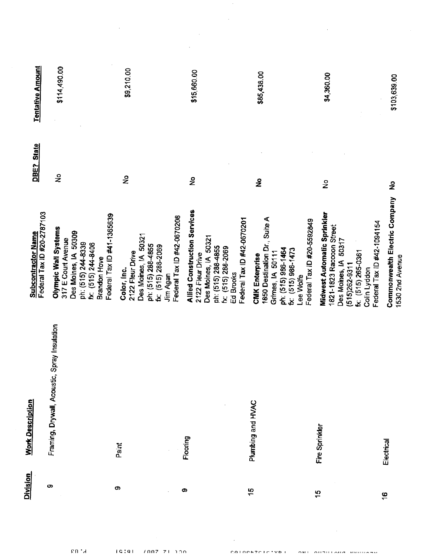| <b>Division</b> | <b>Work Description</b>                      |                                                                                                                                            |                      |                         |
|-----------------|----------------------------------------------|--------------------------------------------------------------------------------------------------------------------------------------------|----------------------|-------------------------|
|                 |                                              | Federal Tax ID #20-2787103<br><b>Subcontractor Name</b>                                                                                    | <b>State</b><br>DBE? | <b>Tentative Amount</b> |
| တ               | Framing, Drywall, Acoustic, Spray Insulation | Olympic Wall Systems<br>Des Moines, IA 50309<br>317 E Court Avenue<br>ph: (515) 244-8339                                                   | $\frac{1}{2}$        | \$114,490.00            |
|                 |                                              | Federal Tax ID #41-1365639<br>fx: (515) 244-8406<br>Brandon Hove                                                                           |                      |                         |
| တ               | Paint                                        | Des Moines, IA 50321<br>ph: (515) 288-4855<br>2122 Fleur Drive<br>Color, Inc.                                                              | $\frac{1}{2}$        | \$9,210.00              |
|                 |                                              | Federal Tax ID #42-0670208<br>fx: (515) 288-2069<br>Jim Agan                                                                               |                      |                         |
| ၜ               | Flooring                                     | <b>Allied Construction Services</b><br>Des Moines, IA 50321<br>ph: (515) 288-4855<br>2122 Fleur Drive                                      | $\tilde{z}$          | \$15,660.00             |
|                 |                                              | Federal Tax ID #42-0670201<br>fx: (515) 288-2069<br>Ed Brooks                                                                              |                      |                         |
| 40              | Plumbing and HVAC                            | 1850 Destination Dr., Suite A<br>ph: (515) 986-1464<br>$6x$ : $(515)$ 986-1473<br>Grimes, IA 50111<br><b>CMK</b> Enterprise<br>Lee Wolfe   | $\tilde{z}$          | \$85,438.00             |
| $\frac{5}{1}$   |                                              | Federal Tax ID #20-5592849                                                                                                                 |                      |                         |
|                 | Fire Sprinkler                               | Midwest Automatic Sprinkler<br>1821-1823 Raccoon Street<br>Des Moines, IA 50317<br>fx: (515) 265-0361<br>$(515)262 - 9311$<br>Colin Lyddon | $\frac{1}{2}$        | \$4,360.00              |
| $\frac{6}{1}$   |                                              | Federal Tax ID #42-1094154                                                                                                                 |                      |                         |
|                 | Electrical                                   | Commonwealth Electric Company<br>1530 2nd Avenue                                                                                           | ş                    | \$103,639.00            |

 $\mathcal{L}^{\text{max}}_{\text{max}}$ 

 $\sim 10^{11}$ 

 $\mathcal{L}^{\text{max}}_{\text{max}}$ 

 $\label{eq:2.1} \frac{1}{\sqrt{2}}\left(\frac{1}{\sqrt{2}}\right)^{2} \left(\frac{1}{\sqrt{2}}\right)^{2} \left(\frac{1}{\sqrt{2}}\right)^{2} \left(\frac{1}{\sqrt{2}}\right)^{2} \left(\frac{1}{\sqrt{2}}\right)^{2} \left(\frac{1}{\sqrt{2}}\right)^{2} \left(\frac{1}{\sqrt{2}}\right)^{2} \left(\frac{1}{\sqrt{2}}\right)^{2} \left(\frac{1}{\sqrt{2}}\right)^{2} \left(\frac{1}{\sqrt{2}}\right)^{2} \left(\frac{1}{\sqrt{2}}\right)^{2} \left(\$  $\mathcal{L}^{\text{max}}_{\text{max}}$  , where  $\mathcal{L}^{\text{max}}_{\text{max}}$ 

 $\sim$   $\sim$ 

cu la

 $16(9)$  /007 71.100

COLOGEZCICTVD L

 $\epsilon$ 

ART AUTOLARA BROSSER